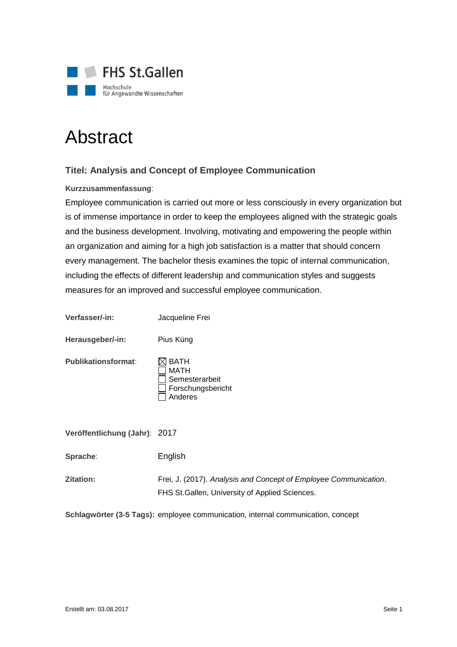

# Abstract

## **Titel: Analysis and Concept of Employee Communication**

#### **Kurzzusammenfassung**:

Employee communication is carried out more or less consciously in every organization but is of immense importance in order to keep the employees aligned with the strategic goals and the business development. Involving, motivating and empowering the people within an organization and aiming for a high job satisfaction is a matter that should concern every management. The bachelor thesis examines the topic of internal communication, including the effects of different leadership and communication styles and suggests measures for an improved and successful employee communication.

| Verfasser/-in:                | Jacqueline Frei                                                                                                     |
|-------------------------------|---------------------------------------------------------------------------------------------------------------------|
| Herausgeber/-in:              | Pius Küng                                                                                                           |
| <b>Publikationsformat:</b>    | <b>BATH</b><br>MATH<br>Semesterarbeit<br>Forschungsbericht<br>Anderes                                               |
| Veröffentlichung (Jahr): 2017 |                                                                                                                     |
| Sprache:                      | English                                                                                                             |
| Zitation:                     | Frei, J. (2017). Analysis and Concept of Employee Communication.<br>FHS St. Gallen, University of Applied Sciences. |

**Schlagwörter (3-5 Tags):** employee communication, internal communication, concept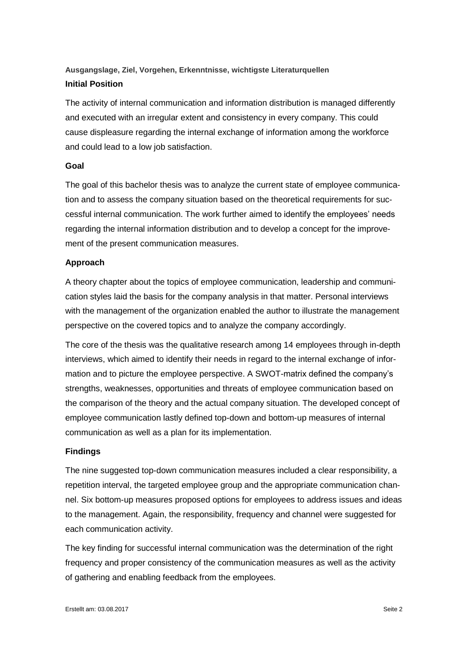# **Ausgangslage, Ziel, Vorgehen, Erkenntnisse, wichtigste Literaturquellen Initial Position**

The activity of internal communication and information distribution is managed differently and executed with an irregular extent and consistency in every company. This could cause displeasure regarding the internal exchange of information among the workforce and could lead to a low job satisfaction.

#### **Goal**

The goal of this bachelor thesis was to analyze the current state of employee communication and to assess the company situation based on the theoretical requirements for successful internal communication. The work further aimed to identify the employees' needs regarding the internal information distribution and to develop a concept for the improvement of the present communication measures.

#### **Approach**

A theory chapter about the topics of employee communication, leadership and communication styles laid the basis for the company analysis in that matter. Personal interviews with the management of the organization enabled the author to illustrate the management perspective on the covered topics and to analyze the company accordingly.

The core of the thesis was the qualitative research among 14 employees through in-depth interviews, which aimed to identify their needs in regard to the internal exchange of information and to picture the employee perspective. A SWOT-matrix defined the company's strengths, weaknesses, opportunities and threats of employee communication based on the comparison of the theory and the actual company situation. The developed concept of employee communication lastly defined top-down and bottom-up measures of internal communication as well as a plan for its implementation.

#### **Findings**

The nine suggested top-down communication measures included a clear responsibility, a repetition interval, the targeted employee group and the appropriate communication channel. Six bottom-up measures proposed options for employees to address issues and ideas to the management. Again, the responsibility, frequency and channel were suggested for each communication activity.

The key finding for successful internal communication was the determination of the right frequency and proper consistency of the communication measures as well as the activity of gathering and enabling feedback from the employees.